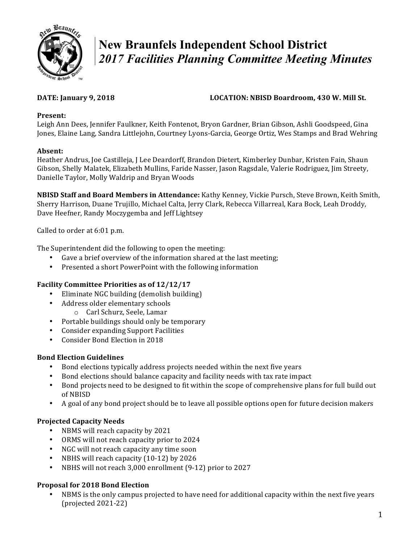

# **New Braunfels Independent School District**  *2017 Facilities Planning Committee Meeting Minutes*

# **DATE:** January 9, 2018 **LOCATION:** NBISD Boardroom, 430 W. Mill St.

# **Present:**

Leigh Ann Dees, Jennifer Faulkner, Keith Fontenot, Bryon Gardner, Brian Gibson, Ashli Goodspeed, Gina Jones, Elaine Lang, Sandra Littlejohn, Courtney Lyons-Garcia, George Ortiz, Wes Stamps and Brad Wehring

# **Absent:**

Heather Andrus, Joe Castilleja, J Lee Deardorff, Brandon Dietert, Kimberley Dunbar, Kristen Fain, Shaun Gibson, Shelly Malatek, Elizabeth Mullins, Faride Nasser, Jason Ragsdale, Valerie Rodriguez, Jim Streety, Danielle Taylor, Molly Waldrip and Bryan Woods

**NBISD Staff and Board Members in Attendance:** Kathy Kenney, Vickie Pursch, Steve Brown, Keith Smith, Sherry Harrison, Duane Trujillo, Michael Calta, Jerry Clark, Rebecca Villarreal, Kara Bock, Leah Droddy, Dave Heefner, Randy Moczygemba and Jeff Lightsey

Called to order at 6:01 p.m.

The Superintendent did the following to open the meeting:

- Gave a brief overview of the information shared at the last meeting;
- Presented a short PowerPoint with the following information

# **Facility Committee Priorities as of 12/12/17**

- Eliminate NGC building (demolish building)
	- Address older elementary schools
		- o Carl Schurz, Seele, Lamar
- Portable buildings should only be temporary
- Consider expanding Support Facilities
- Consider Bond Election in 2018

# **Bond Election Guidelines**

- Bond elections typically address projects needed within the next five years
- Bond elections should balance capacity and facility needs with tax rate impact
- Bond projects need to be designed to fit within the scope of comprehensive plans for full build out of NBISD
- A goal of any bond project should be to leave all possible options open for future decision makers

# **Projected Capacity Needs**

- NBMS will reach capacity by 2021
- ORMS will not reach capacity prior to 2024
- NGC will not reach capacity any time soon
- NBHS will reach capacity (10-12) by 2026
- NBHS will not reach 3,000 enrollment (9-12) prior to 2027

# **Proposal for 2018 Bond Election**

NBMS is the only campus projected to have need for additional capacity within the next five years  $(projected 2021-22)$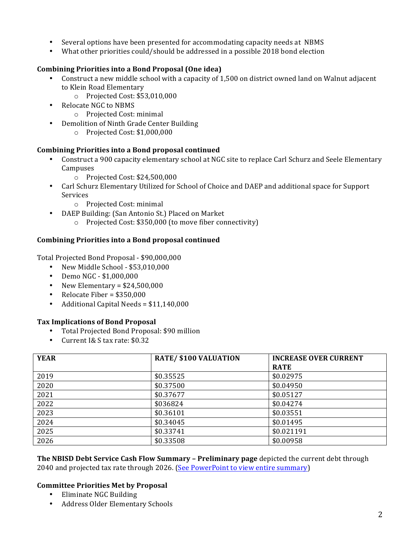- Several options have been presented for accommodating capacity needs at NBMS
- What other priorities could/should be addressed in a possible 2018 bond election

# **Combining Priorities into a Bond Proposal (One idea)**

- Construct a new middle school with a capacity of 1,500 on district owned land on Walnut adjacent to Klein Road Elementary
	- o Projected Cost: \$53,010,000
- Relocate NGC to NBMS
	- o Projected Cost: minimal
- Demolition of Ninth Grade Center Building
	- o Projected Cost: \$1,000,000

### Combining Priorities into a Bond proposal continued

- Construct a 900 capacity elementary school at NGC site to replace Carl Schurz and Seele Elementary Campuses
	- o Projected Cost: \$24,500,000
- Carl Schurz Elementary Utilized for School of Choice and DAEP and additional space for Support Services
	- o Projected Cost: minimal
- DAEP Building: (San Antonio St.) Placed on Market
	- o Projected Cost: \$350,000 (to move fiber connectivity)

# **Combining Priorities into a Bond proposal continued**

Total Projected Bond Proposal - \$90,000,000

- New Middle School \$53,010,000
- Demo NGC \$1,000,000
- New Elementary =  $$24,500,000$
- Relocate Fiber =  $$350,000$
- Additional Capital Needs =  $$11,140,000$

### **Tax Implications of Bond Proposal**

- Total Projected Bond Proposal: \$90 million
- Current I& S tax rate: \$0.32

| <b>YEAR</b> | <b>RATE/ \$100 VALUATION</b> | <b>INCREASE OVER CURRENT</b> |
|-------------|------------------------------|------------------------------|
|             |                              | <b>RATE</b>                  |
| 2019        | \$0.35525                    | \$0.02975                    |
| 2020        | \$0.37500                    | \$0.04950                    |
| 2021        | \$0.37677                    | \$0.05127                    |
| 2022        | \$036824                     | \$0.04274                    |
| 2023        | \$0.36101                    | \$0.03551                    |
| 2024        | \$0.34045                    | \$0.01495                    |
| 2025        | \$0.33741                    | \$0.021191                   |
| 2026        | \$0.33508                    | \$0.00958                    |

**The NBISD Debt Service Cash Flow Summary – Preliminary page** depicted the current debt through 2040 and projected tax rate through 2026. (See PowerPoint to view entire summary)

### **Committee Priorities Met by Proposal**

- Eliminate NGC Building
- Address Older Elementary Schools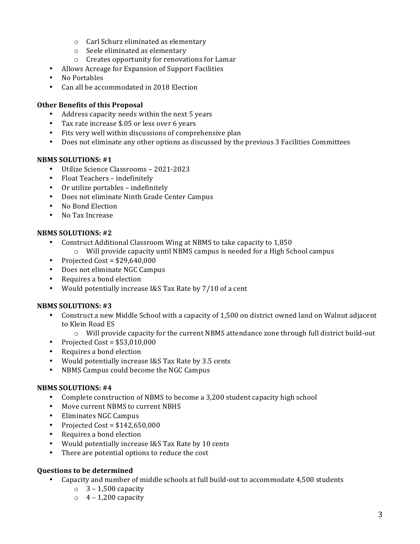- $\circ$  Carl Schurz eliminated as elementary
- $\circ$  Seele eliminated as elementary
- $\circ$  Creates opportunity for renovations for Lamar
- Allows Acreage for Expansion of Support Facilities
- No Portables
- Can all be accommodated in 2018 Election

#### **Other Benefits of this Proposal**

- Address capacity needs within the next 5 years
- Tax rate increase \$.05 or less over 6 years
- Fits very well within discussions of comprehensive plan
- Does not eliminate any other options as discussed by the previous 3 Facilities Committees

#### **NBMS SOLUTIONS: #1**

- Utilize Science Classrooms 2021-2023
- Float Teachers indefinitely
- Or utilize portables indefinitely
- Does not eliminate Ninth Grade Center Campus
- No Bond Election
- No Tax Increase

#### **NBMS SOLUTIONS: #2**

- Construct Additional Classroom Wing at NBMS to take capacity to 1,850
	- $\circ$  Will provide capacity until NBMS campus is needed for a High School campus
- Projected Cost =  $$29,640,000$
- Does not eliminate NGC Campus
- Requires a bond election
- Would potentially increase I&S Tax Rate by 7/10 of a cent

#### **NBMS SOLUTIONS: #3**

- Construct a new Middle School with a capacity of 1,500 on district owned land on Walnut adjacent to Klein Road ES
	- o Will provide capacity for the current NBMS attendance zone through full district build-out
- Projected Cost =  $$53,010,000$
- Requires a bond election
- Would potentially increase I&S Tax Rate by 3.5 cents
- NBMS Campus could become the NGC Campus

#### **NBMS SOLUTIONS: #4**

- Complete construction of NBMS to become a 3,200 student capacity high school
- Move current NBMS to current NBHS
- Eliminates NGC Campus
- Projected Cost =  $$142,650,000$
- Requires a bond election
- Would potentially increase I&S Tax Rate by 10 cents
- There are potential options to reduce the cost

### **Questions to be determined**

- Capacity and number of middle schools at full build-out to accommodate 4,500 students
	- $\circ$  3 1,500 capacity
	- $\circ$  4 1,200 capacity